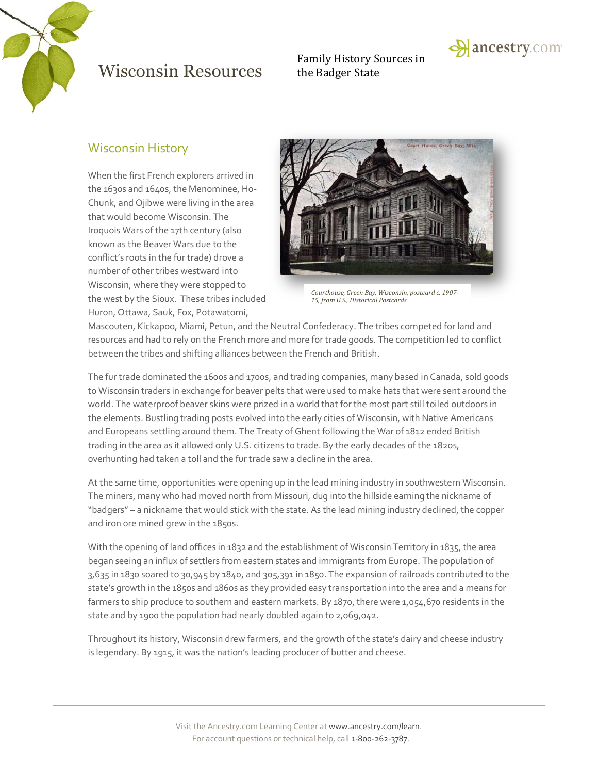

# Family History Sources in



#### Wisconsin History

When the first French explorers arrived in the 1630s and 1640s, the Menominee, Ho-Chunk, and Ojibwe were living in the area that would become Wisconsin. The Iroquois Wars of the 17th century (also known as the Beaver Wars due to the conflict's roots in the fur trade) drove a number of other tribes westward into Wisconsin, where they were stopped to the west by the Sioux. These tribes included Huron, Ottawa, Sauk, Fox, Potawatomi,



Mascouten, Kickapoo, Miami, Petun, and the Neutral Confederacy. The tribes competed for land and resources and had to rely on the French more and more for trade goods. The competition led to conflict between the tribes and shifting alliances between the French and British.

The fur trade dominated the 1600s and 1700s, and trading companies, many based in Canada, sold goods to Wisconsin traders in exchange for beaver pelts that were used to make hats that were sent around the world. The waterproof beaver skins were prized in a world that for the most part still toiled outdoors in the elements. Bustling trading posts evolved into the early cities of Wisconsin, with Native Americans and Europeans settling around them. The Treaty of Ghent following the War of 1812 ended British trading in the area as it allowed only U.S. citizens to trade. By the early decades of the 1820s, overhunting had taken a toll and the fur trade saw a decline in the area.

At the same time, opportunities were opening up in the lead mining industry in southwestern Wisconsin. The miners, many who had moved north from Missouri, dug into the hillside earning the nickname of "badgers" – a nickname that would stick with the state. As the lead mining industry declined, the copper and iron ore mined grew in the 1850s.

With the opening of land offices in 1832 and the establishment of Wisconsin Territory in 1835, the area began seeing an influx of settlers from eastern states and immigrants from Europe. The population of 3,635 in 1830 soared to 30,945 by 1840, and 305,391 in 1850. The expansion of railroads contributed to the state's growth in the 1850s and 1860s as they provided easy transportation into the area and a means for farmers to ship produce to southern and eastern markets. By 1870, there were 1,054,670 residents in the state and by 1900 the population had nearly doubled again to 2,069,042.

Throughout its history, Wisconsin drew farmers, and the growth of the state's dairy and cheese industry is legendary. By 1915, it was the nation's leading producer of butter and cheese.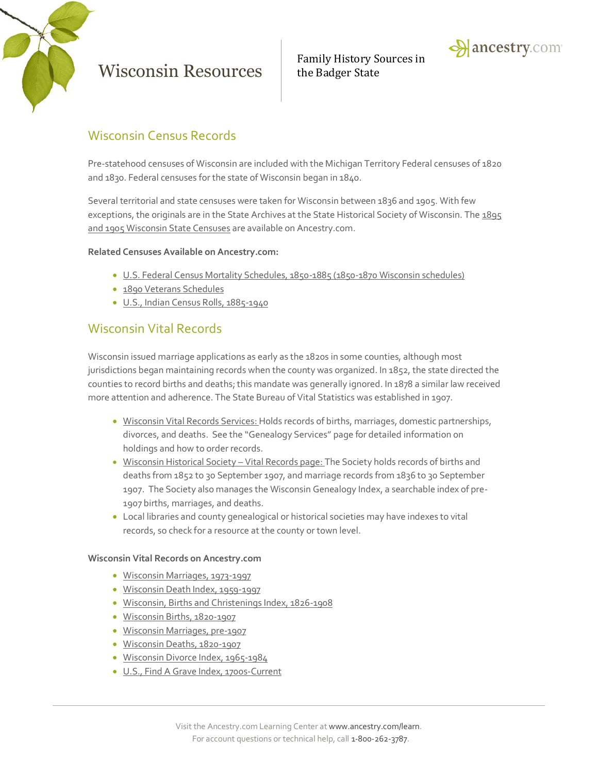

Family History Sources in



#### Wisconsin Census Records

Pre-statehood censuses of Wisconsin are included with the Michigan Territory Federal censuses of 1820 and 1830. Federal censuses for the state of Wisconsin began in 1840.

Several territorial and state censuses were taken for Wisconsin between 1836 and 1905. With few exceptions, the originals are in the State Archives at the State Historical Society of Wisconsin. The 1895 and 1905 Wisconsin [State Censuses](http://search.ancestry.com/search/db.aspx?dbid=1055) are available on Ancestry.com.

#### **Related Censuses Available on Ancestry.com:**

- [U.S. Federal Census Mortality Schedules, 1850-1885](http://search.ancestry.com/search/db.aspx?dbid=8756) (1850-1870 Wisconsin schedules)
- [1890 Veterans Schedules](http://search.ancestry.com/search/db.aspx?dbid=8667)
- [U.S., Indian Census Rolls, 1885-1940](http://search.ancestry.com/search/db.aspx?dbid=1059)

#### Wisconsin Vital Records

Wisconsin issued marriage applications as early as the 1820s in some counties, although most jurisdictions began maintaining records when the county was organized. In 1852, the state directed the counties to record births and deaths; this mandate was generally ignored. In 1878 a similar law received more attention and adherence. The State Bureau of Vital Statistics was established in 1907.

- [Wisconsin Vital Records Services:](http://www.dhs.wisconsin.gov/VitalRecords/) Holds records of births, marriages, domestic partnerships, divorces, and deaths. See the "Genealogy Services" page for detailed information on holdings and how to order records.
- [Wisconsin Historical Society](http://www.wisconsinhistory.org/Content.aspx?dsNav=Ny:True,Ro:0,N:4294963828-4294963805&dsNavOnly=N:1133&dsRecordDetails=R:CS88&dsDimensionSearch=D:vital+records,Dxm:All,Dxp:3&dsCompoundDimensionSearch=D:vital+records,Dxm:All,Dxp:3)  Vital Records page: The Society holds records of births and deaths from 1852 to 30 September 1907, and marriage records from 1836 to 30 September 1907. The Society also manages the Wisconsin Genealogy Index, a searchable index of pre-1907 births, marriages, and deaths.
- Local libraries and county genealogical or historical societies may have indexes to vital records, so check for a resource at the county or town level.

#### **Wisconsin Vital Records on Ancestry.com**

- [Wisconsin Marriages, 1973-1997](http://search.ancestry.com/search/db.aspx?dbid=8744)
- [Wisconsin Death Index, 1959-1997](http://search.ancestry.com/search/db.aspx?dbid=8790)
- [Wisconsin, Births and Christenings Index, 1826-1908](http://search.ancestry.com/search/db.aspx?dbid=2544)
- [Wisconsin Births, 1820-1907](http://search.ancestry.com/search/db.aspx?dbid=4750)
- [Wisconsin Marriages, pre-1907](http://search.ancestry.com/search/db.aspx?dbid=4997)
- [Wisconsin Deaths, 1820-1907](http://search.ancestry.com/search/db.aspx?dbid=4984)
- [Wisconsin Divorce Index, 1965-1984](http://search.ancestry.com/search/db.aspx?dbid=1244)
- [U.S., Find A Grave Index, 1700s-Current](http://search.ancestry.com/search/db.aspx?dbid=60525)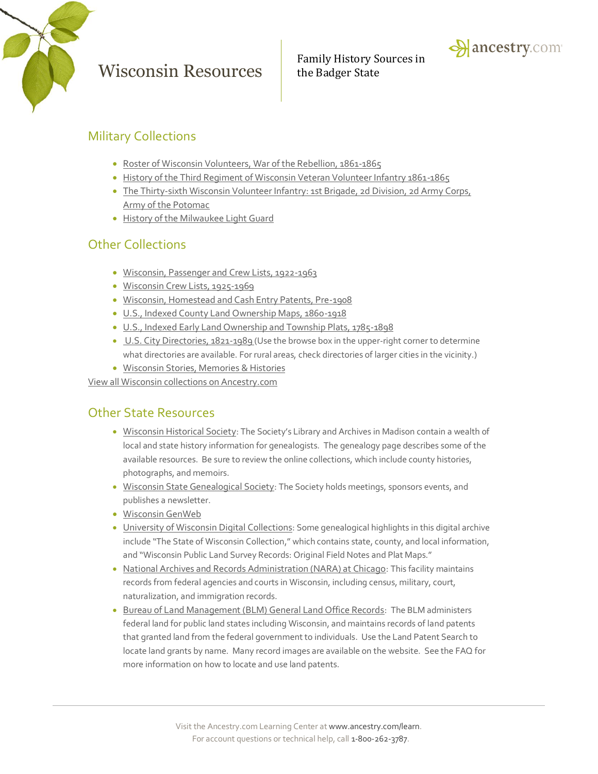



### Military Collections

- [Roster of Wisconsin Volunteers, War of the Rebellion, 1861-1865](http://search.ancestry.com/search/db.aspx?dbid=29993)
- [History of the Third Regiment of Wisconsin Veteran Volunteer Infantry 1861-1865](http://search.ancestry.com/search/db.aspx?dbid=29356)
- [The Thirty-sixth Wisconsin Volunteer Infantry: 1st Brigade, 2d Division, 2d Army Corps,](http://search.ancestry.com/search/db.aspx?dbid=28276)  [Army of the Potomac](http://search.ancestry.com/search/db.aspx?dbid=28276)
- [History of the Milwaukee Light Guard](http://search.ancestry.com/search/db.aspx?dbid=29363)

#### Other Collections

- [Wisconsin, Passenger and Crew Lists, 1922-1963](http://search.ancestry.com/search/db.aspx?dbid=2138)
- [Wisconsin Crew Lists, 1925-1969](http://search.ancestry.com/search/db.aspx?dbid=1005)
- [Wisconsin, Homestead and Cash Entry Patents, Pre-1908](http://search.ancestry.com/search/db.aspx?dbid=2079)
- [U.S., Indexed County Land Ownership Maps, 1860-1918](http://search.ancestry.com/search/db.aspx?dbid=1127)
- [U.S., Indexed Early Land Ownership and Township Plats, 1785-1898](http://search.ancestry.com/search/db.aspx?dbid=2179)
- [U.S. City Directories, 1821-1989](http://search.ancestry.com/search/db.aspx?dbid=2469) (Use the browse box in the upper-right corner to determine what directories are available. For rural areas, check directories of larger cities in the vicinity.)
- [Wisconsin Stories, Memories & Histories](http://search.ancestry.com/Places/US/Wisconsin/Default.aspx?category=33)

[View all Wisconsin collections on Ancestry.com](http://search.ancestry.com/Places/US/Wisconsin/Default.aspx)

#### Other State Resources

- [Wisconsin Historical Society](http://www.wisconsinhistory.org/): The Society's Library and Archives in Madison contain a wealth of local and state history information for genealogists. The genealogy page describes some of the available resources. Be sure to review the online collections, which include county histories, photographs, and memoirs.
- [Wisconsin State Genealogical Society](http://www.wsgs.org/): The Society holds meetings, sponsors events, and publishes a newsletter.
- [Wisconsin GenWeb](http://www.wigenweb.org/)
- [University of Wisconsin Digital Collections](http://uwdc.library.wisc.edu/): Some genealogical highlights in this digital archive include "The State of Wisconsin Collection," which contains state, county, and local information, and "Wisconsin Public Land Survey Records: Original Field Notes and Plat Maps."
- [National Archives and Records Administration \(NARA\) at Chicago](http://www.archives.gov/chicago/): This facility maintains records from federal agencies and courts in Wisconsin, including census, military, court, naturalization, and immigration records.
- **[Bureau of Land Management \(BLM\) General Land Office Records](http://www.glorecords.blm.gov/): The BLM administers** federal land for public land states including Wisconsin, and maintains records of land patents that granted land from the federal government to individuals. Use the Land Patent Search to locate land grants by name. Many record images are available on the website. See the FAQ for more information on how to locate and use land patents.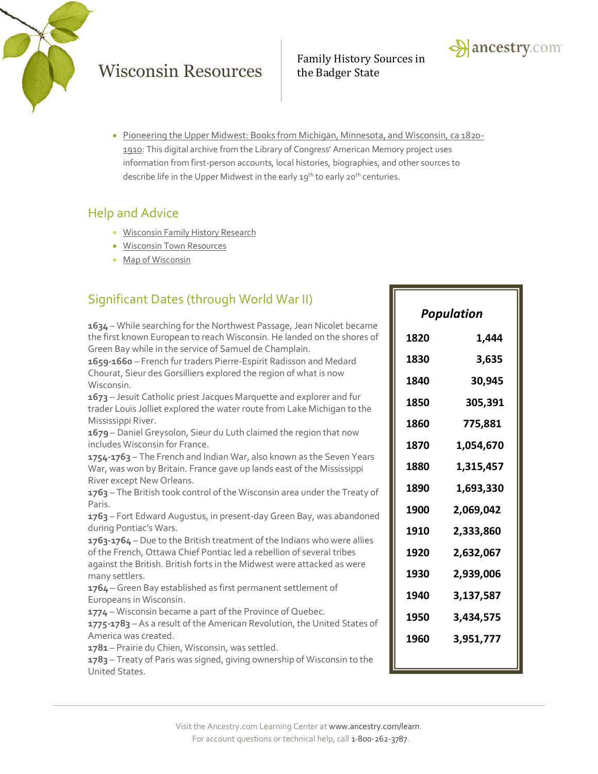



 [Pioneering the Upper Midwest: Books from Michigan, Minnesota, and Wisconsin, ca 1820-](http://memory.loc.gov/ammem/umhtml/) [1910](http://memory.loc.gov/ammem/umhtml/): This digital archive from the Library of Congress' American Memory project uses information from first-person accounts, local histories, biographies, and other sources to describe life in the Upper Midwest in the early 19<sup>th</sup> to early 20<sup>th</sup> centuries.

#### Help and Advice

- **Wisconsin [Family History Research](http://www.ancestry.com/wiki/index.php?title=History_of_Wisconsin)**
- Wisconsin Town [Resources](http://www.ancestry.com/wiki/index.php?title=Wisconsin_Town_Resources)
- [Map of Wisconsin](http://www.ancestry.com/wiki/index.php?title=Map_of_Wisconsin)

## Significant Dates (through World War II)

**1634** – While searching for the Northwest Passage, Jean Nicolet became the first known European to reach Wisconsin. He landed on the shores of Green Bay while in the service of Samuel de Champlain. **1659-1660** – French fur traders Pierre-Espirit Radisson and Medard Chourat, Sieur des Gorsilliers explored the region of what is now Wisconsin. **1673** – Jesuit Catholic priest Jacques Marquette and explorer and fur trader Louis Jolliet explored the water route from Lake Michigan to the Mississippi River. **1679** – Daniel Greysolon, Sieur du Luth claimed the region that now includes Wisconsin for France. **1754-1763** – The French and Indian War, also known as the Seven Years War, was won by Britain. France gave up lands east of the Mississippi River except New Orleans. **1763** – The British took control of the Wisconsin area under the Treaty of Paris. **1763** – Fort Edward Augustus, in present-day Green Bay, was abandoned during Pontiac's Wars. **1763-1764** – Due to the British treatment of the Indians who were allies of the French, Ottawa Chief Pontiac led a rebellion of several tribes against the British. British forts in the Midwest were attacked as were many settlers. **1764** – Green Bay established as first permanent settlement of Europeans in Wisconsin. **1774** – Wisconsin became a part of the Province of Quebec. **1775-1783** – As a result of the American Revolution, the United States of

America was created.

**1781** – Prairie du Chien, Wisconsin, was settled.

**1783** – Treaty of Paris was signed, giving ownership of Wisconsin to the United States.

| Population |           |
|------------|-----------|
| 1820       | 1,444     |
| 1830       | 3,635     |
| 1840       | 30,945    |
| 1850       | 305,391   |
| 1860       | 775,881   |
| 1870       | 1,054,670 |
| 1880       | 1,315,457 |
| 1890       | 1,693,330 |
| 1900       | 2,069,042 |
| 1910       | 2,333,860 |
| 1920       | 2,632,067 |
| 1930       | 2,939,006 |
| 1940       | 3,137,587 |
| 1950       | 3,434,575 |
| 1960       | 3,951,777 |
|            |           |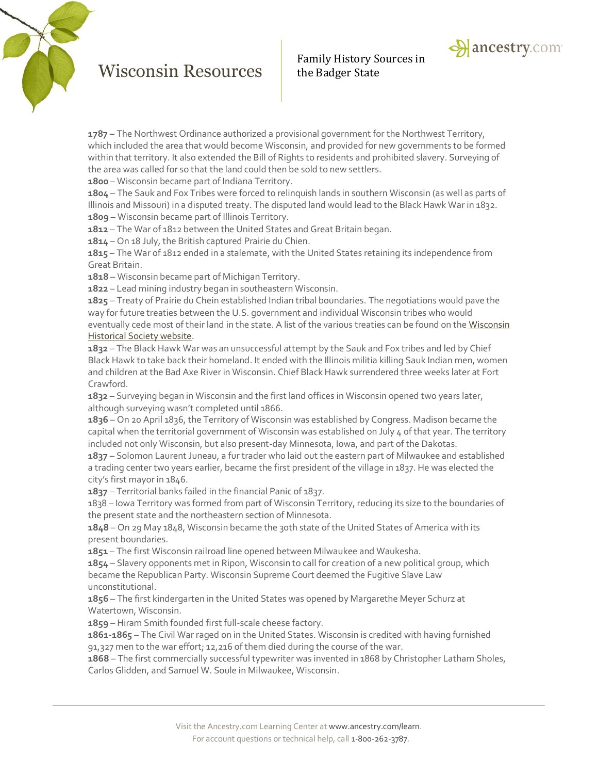

**1787 –** The Northwest Ordinance authorized a provisional government for the Northwest Territory, which included the area that would become Wisconsin, and provided for new governments to be formed within that territory. It also extended the Bill of Rights to residents and prohibited slavery. Surveying of the area was called for so that the land could then be sold to new settlers.

**1800** – Wisconsin became part of Indiana Territory.

**1804** – The Sauk and Fox Tribes were forced to relinquish lands in southern Wisconsin (as well as parts of Illinois and Missouri) in a disputed treaty. The disputed land would lead to the Black Hawk War in 1832. **1809** – Wisconsin became part of Illinois Territory.

**1812** – The War of 1812 between the United States and Great Britain began.

**1814** – On 18 July, the British captured Prairie du Chien.

**1815** – The War of 1812 ended in a stalemate, with the United States retaining its independence from Great Britain.

**1818** – Wisconsin became part of Michigan Territory.

**1822** – Lead mining industry began in southeastern Wisconsin.

**1825** – Treaty of Prairie du Chein established Indian tribal boundaries. The negotiations would pave the way for future treaties between the U.S. government and individual Wisconsin tribes who would eventually cede most of their land in the state. A list of the various treaties can be found on th[e Wisconsin](http://www.wisconsinhistory.org/turningpoints/tp-013/?action=more_essay)  [Historical Society website.](http://www.wisconsinhistory.org/turningpoints/tp-013/?action=more_essay)

**1832** – The Black Hawk War was an unsuccessful attempt by the Sauk and Fox tribes and led by Chief Black Hawk to take back their homeland. It ended with the Illinois militia killing Sauk Indian men, women and children at the Bad Axe River in Wisconsin. Chief Black Hawk surrendered three weeks later at Fort Crawford.

**1832** – Surveying began in Wisconsin and the first land offices in Wisconsin opened two years later, although surveying wasn't completed until 1866.

**1836** – On 20 April 1836, the Territory of Wisconsin was established by Congress. Madison became the capital when the territorial government of Wisconsin was established on July 4 of that year. The territory included not only Wisconsin, but also present-day Minnesota, Iowa, and part of the Dakotas.

**1837** – Solomon Laurent Juneau, a fur trader who laid out the eastern part of Milwaukee and established a trading center two years earlier, became the first president of the village in 1837. He was elected the city's first mayor in 1846.

**1837** – Territorial banks failed in the financial Panic of 1837.

1838 – Iowa Territory was formed from part of Wisconsin Territory, reducing its size to the boundaries of the present state and the northeastern section of Minnesota.

**1848** – On 29 May 1848, Wisconsin became the 30th state of the United States of America with its present boundaries.

**1851** – The first Wisconsin railroad line opened between Milwaukee and Waukesha.

**1854** – Slavery opponents met in Ripon, Wisconsin to call for creation of a new political group, which became the Republican Party. Wisconsin Supreme Court deemed the Fugitive Slave Law unconstitutional.

**1856** – The first kindergarten in the United States was opened by Margarethe Meyer Schurz at Watertown, Wisconsin.

**1859** – Hiram Smith founded first full-scale cheese factory.

**1861-1865** – The Civil War raged on in the United States. Wisconsin is credited with having furnished 91,327 men to the war effort; 12,216 of them died during the course of the war.

**1868** – The first commercially successful typewriter was invented in 1868 by Christopher Latham Sholes, Carlos Glidden, and Samuel W. Soule in Milwaukee, Wisconsin.